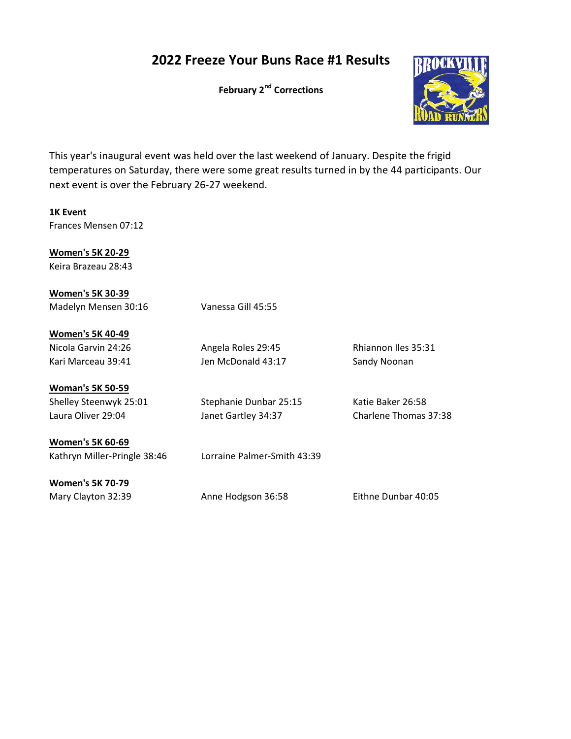## 2022 Freeze Your Buns Race #1 Results

February 2<sup>nd</sup> Corrections



This year's inaugural event was held over the last weekend of January. Despite the frigid temperatures on Saturday, there were some great results turned in by the 44 participants. Our next event is over the February 26-27 weekend.

1K Event Frances Mensen 07:12

Women's 5K 20-29 Keira Brazeau 28:43

Women's 5K 30-39 Madelyn Mensen 30:16 Vanessa Gill 45:55

Women's 5K 40-49 Nicola Garvin 24:26 Angela Roles 29:45 Rhiannon Iles 35:31 Kari Marceau 39:41 **Jen McDonald 43:17** Sandy Noonan

Woman's 5K 50-59

Shelley Steenwyk 25:01 Stephanie Dunbar 25:15 Katie Baker 26:58 Laura Oliver 29:04 Janet Gartley 34:37 Charlene Thomas 37:38

Women's 5K 60-69 Kathryn Miller-Pringle 38:46 Lorraine Palmer-Smith 43:39

Women's 5K 70-79

Mary Clayton 32:39 Anne Hodgson 36:58 Eithne Dunbar 40:05